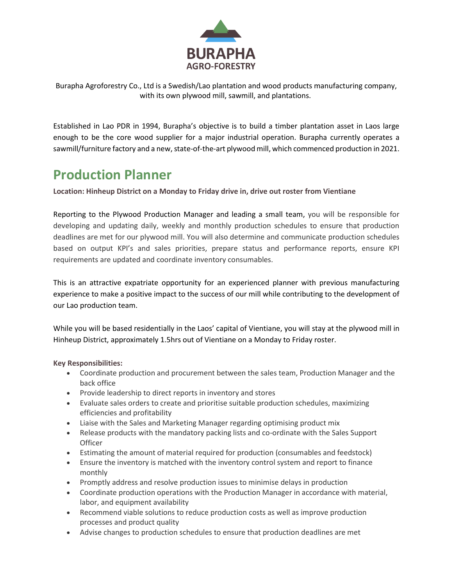

Burapha Agroforestry Co., Ltd is a Swedish/Lao plantation and wood products manufacturing company, with its own plywood mill, sawmill, and plantations.

Established in Lao PDR in 1994, Burapha's objective is to build a timber plantation asset in Laos large enough to be the core wood supplier for a major industrial operation. Burapha currently operates a sawmill/furniture factory and a new, state-of-the-art plywood mill, which commenced production in 2021.

# **Production Planner**

**Location: Hinheup District on a Monday to Friday drive in, drive out roster from Vientiane**

Reporting to the Plywood Production Manager and leading a small team, you will be responsible for developing and updating daily, weekly and monthly production schedules to ensure that production deadlines are met for our plywood mill. You will also determine and communicate production schedules based on output KPI's and sales priorities, prepare status and performance reports, ensure KPI requirements are updated and coordinate inventory consumables.

This is an attractive expatriate opportunity for an experienced planner with previous manufacturing experience to make a positive impact to the success of our mill while contributing to the development of our Lao production team.

While you will be based residentially in the Laos' capital of Vientiane, you will stay at the plywood mill in Hinheup District, approximately 1.5hrs out of Vientiane on a Monday to Friday roster.

**Key Responsibilities:**

- Coordinate production and procurement between the sales team, Production Manager and the back office
- Provide leadership to direct reports in inventory and stores
- Evaluate sales orders to create and prioritise suitable production schedules, maximizing efficiencies and profitability
- Liaise with the Sales and Marketing Manager regarding optimising product mix
- Release products with the mandatory packing lists and co-ordinate with the Sales Support **Officer**
- Estimating the amount of material required for production (consumables and feedstock)
- Ensure the inventory is matched with the inventory control system and report to finance monthly
- Promptly address and resolve production issues to minimise delays in production
- Coordinate production operations with the Production Manager in accordance with material, labor, and equipment availability
- Recommend viable solutions to reduce production costs as well as improve production processes and product quality
- Advise changes to production schedules to ensure that production deadlines are met